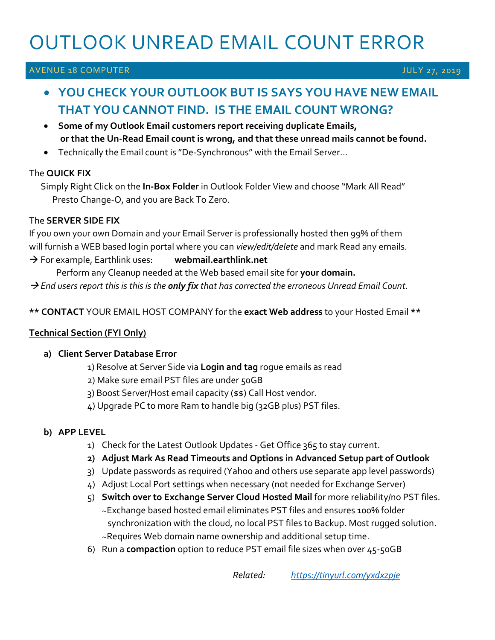# OUTLOOK UNREAD EMAIL COUNT ERROR

# AVENUE 18 COMPUTER AND LONGITUDE OF THE SERVICE OF THE SERVICE OF THE SERVICE OF THE SERVICE OF THE SERVICE OF

# • **YOU CHECK YOUR OUTLOOK BUT IS SAYS YOU HAVE NEW EMAIL THAT YOU CANNOT FIND. IS THE EMAIL COUNT WRONG?**

- **Some of my Outlook Email customers report receiving duplicate Emails, or that the Un-Read Email count is wrong, and that these unread mails cannot be found.**
- Technically the Email count is "De-Synchronous" with the Email Server…

#### The **QUICK FIX**

 Simply Right Click on the **In-Box Folder** in Outlook Folder View and choose "Mark All Read" Presto Change-O, and you are Back To Zero.

#### The **SERVER SIDE FIX**

If you own your own Domain and your Email Server is professionally hosted then 99% of them will furnish a WEB based login portal where you can *view/edit/delete* and mark Read any emails.

→ For example, Earthlink uses: **webmail.earthlink.net**

Perform any Cleanup needed at the Web based email site for **your domain.** 

→ *End users report this is this is the only fix that has corrected the erroneous Unread Email Count.*

**\*\* CONTACT** YOUR EMAIL HOST COMPANY for the **exact Web address** to your Hosted Email **\*\***

# **Technical Section (FYI Only)**

# **a) Client Server Database Error**

1) Resolve at Server Side via **Login and tag** rogue emails as read

2) Make sure email PST files are under 50GB

3) Boost Server/Host email capacity (\$\$) Call Host vendor.

4) Upgrade PC to more Ram to handle big (32GB plus) PST files.

# **b) APP LEVEL**

- 1) Check for the Latest Outlook Updates Get Office 365 to stay current.
- **2) Adjust Mark As Read Timeouts and Options in Advanced Setup part of Outlook**
- 3) Update passwords as required (Yahoo and others use separate app level passwords)
- 4) Adjust Local Port settings when necessary (not needed for Exchange Server)
- 5) **Switch over to Exchange Server Cloud Hosted Mail** for more reliability/no PST files. ~Exchange based hosted email eliminates PST files and ensures 100% folder synchronization with the cloud, no local PST files to Backup. Most rugged solution. ~Requires Web domain name ownership and additional setup time.
- 6) Run a **compaction** option to reduce PST email file sizes when over 45-50GB

*Related: <https://tinyurl.com/yxdxzpje>*